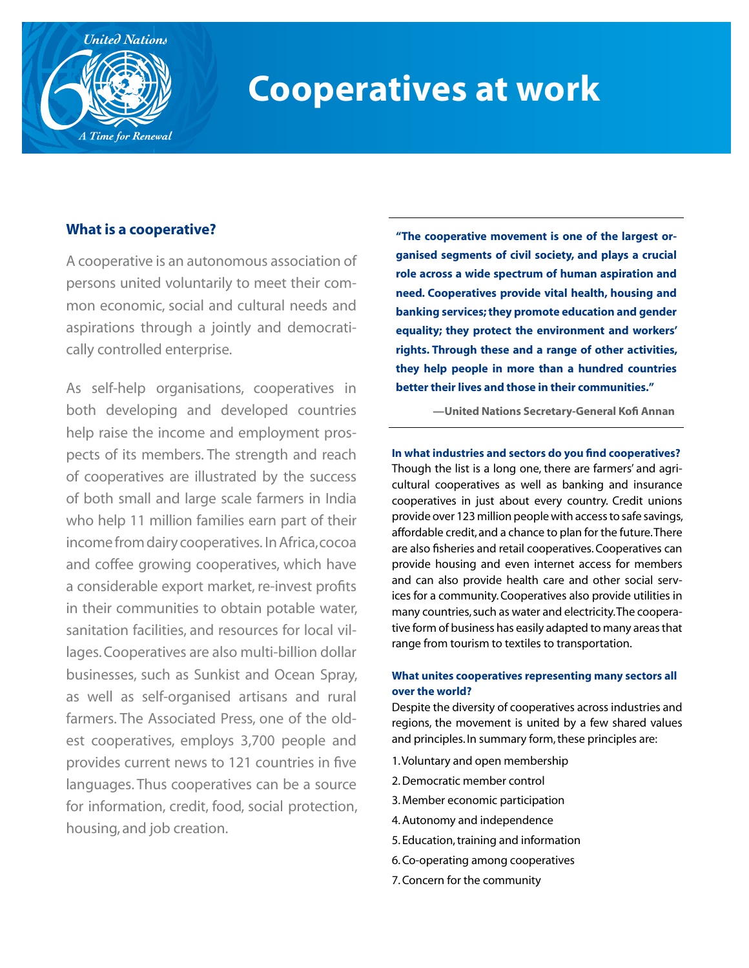

# **Cooperatives at work**

# **What is a cooperative?**

A cooperative is an autonomous association of persons united voluntarily to meet their common economic, social and cultural needs and aspirations through a jointly and democratically controlled enterprise.

As self-help organisations, cooperatives in both developing and developed countries help raise the income and employment prospects of its members. The strength and reach of cooperatives are illustrated by the success of both small and large scale farmers in India who help 11 million families earn part of their income from dairy cooperatives. In Africa, cocoa and coffee growing cooperatives, which have a considerable export market, re-invest profits in their communities to obtain potable water, sanitation facilities, and resources for local villages. Cooperatives are also multi-billion dollar businesses, such as Sunkist and Ocean Spray, as well as self-organised artisans and rural farmers. The Associated Press, one of the oldest cooperatives, employs 3,700 people and provides current news to 121 countries in five languages. Thus cooperatives can be a source for information, credit, food, social protection, housing, and job creation.

**"The cooperative movement is one of the largest organised segments of civil society, and plays a crucial role across a wide spectrum of human aspiration and need. Cooperatives provide vital health, housing and banking services; they promote education and gender equality; they protect the environment and workers' rights. Through these and a range of other activities, they help people in more than a hundred countries better their lives and those in their communities."**

**—United Nations Secretary-General Kofi Annan**

**In what industries and sectors do you find cooperatives?**  Though the list is a long one, there are farmers' and agricultural cooperatives as well as banking and insurance cooperatives in just about every country. Credit unions provide over 123 million people with access to safe savings, affordable credit, and a chance to plan for the future. There are also fisheries and retail cooperatives. Cooperatives can provide housing and even internet access for members and can also provide health care and other social services for a community. Cooperatives also provide utilities in many countries, such as water and electricity. The cooperative form of business has easily adapted to many areas that range from tourism to textiles to transportation.

## **What unites cooperatives representing many sectors all over the world?**

Despite the diversity of cooperatives across industries and regions, the movement is united by a few shared values and principles. In summary form, these principles are:

- 1. Voluntary and open membership
- 2. Democratic member control
- 3. Member economic participation
- 4. Autonomy and independence
- 5. Education, training and information
- 6. Co-operating among cooperatives
- 7. Concern for the community